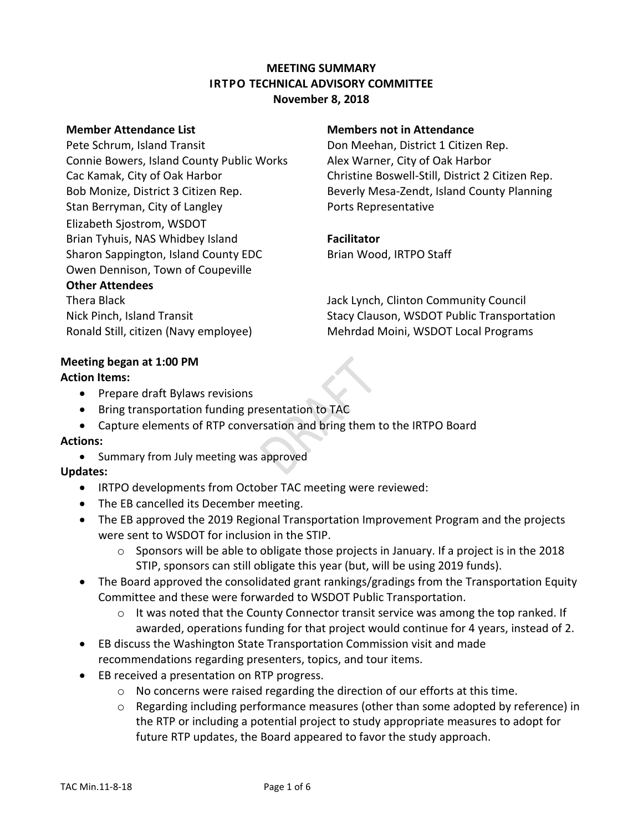# **MEETING SUMMARY IRTPO TECHNICAL ADVISORY COMMITTEE November 8, 2018**

## **Member Attendance List Members not in Attendance**

Pete Schrum, Island Transit **Don Meehan, District 1 Citizen Rep.** Connie Bowers, Island County Public Works Alex Warner, City of Oak Harbor Stan Berryman, City of Langley **Example 20 Forts Representative** Elizabeth Sjostrom, WSDOT Brian Tyhuis, NAS Whidbey Island **Facilitator** Sharon Sappington, Island County EDC Brian Wood, IRTPO Staff Owen Dennison, Town of Coupeville

## **Other Attendees**

Cac Kamak, City of Oak Harbor Christine Boswell-Still, District 2 Citizen Rep. Bob Monize, District 3 Citizen Rep. Beverly Mesa-Zendt, Island County Planning

Thera Black Jack Lynch, Clinton Community Council Nick Pinch, Island Transit **Stacy Clauson, WSDOT Public Transportation** Ronald Still, citizen (Navy employee) Mehrdad Moini, WSDOT Local Programs

# **Meeting began at 1:00 PM**

# **Action Items:**

- Prepare draft Bylaws revisions
- Bring transportation funding presentation to TAC
- Capture elements of RTP conversation and bring them to the IRTPO Board

## **Actions:**

• Summary from July meeting was approved

# **Updates:**

- IRTPO developments from October TAC meeting were reviewed:
- The EB cancelled its December meeting.
- The EB approved the 2019 Regional Transportation Improvement Program and the projects were sent to WSDOT for inclusion in the STIP.
	- $\circ$  Sponsors will be able to obligate those projects in January. If a project is in the 2018 STIP, sponsors can still obligate this year (but, will be using 2019 funds).
- The Board approved the consolidated grant rankings/gradings from the Transportation Equity Committee and these were forwarded to WSDOT Public Transportation.
	- $\circ$  It was noted that the County Connector transit service was among the top ranked. If awarded, operations funding for that project would continue for 4 years, instead of 2.
- EB discuss the Washington State Transportation Commission visit and made recommendations regarding presenters, topics, and tour items.
- EB received a presentation on RTP progress.
	- o No concerns were raised regarding the direction of our efforts at this time.
	- $\circ$  Regarding including performance measures (other than some adopted by reference) in the RTP or including a potential project to study appropriate measures to adopt for future RTP updates, the Board appeared to favor the study approach.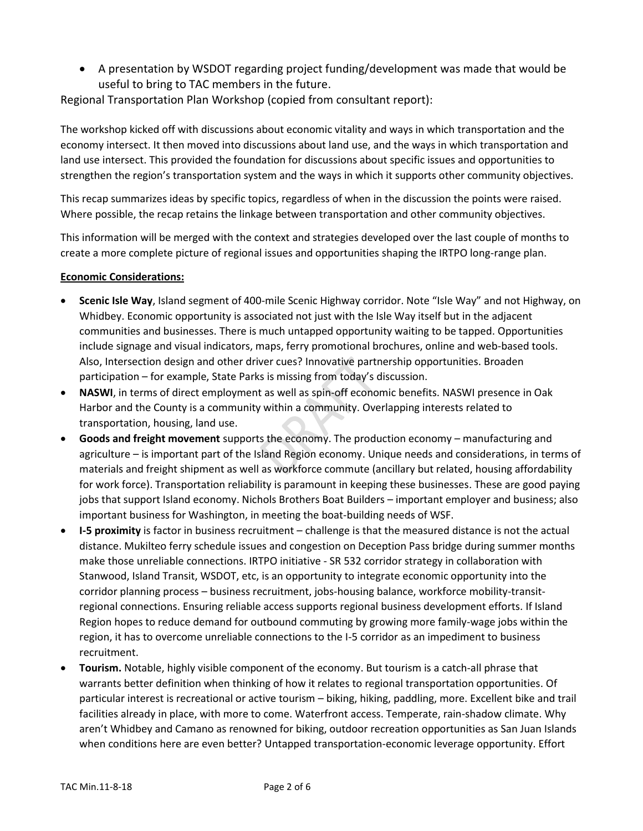A presentation by WSDOT regarding project funding/development was made that would be useful to bring to TAC members in the future.

Regional Transportation Plan Workshop (copied from consultant report):

The workshop kicked off with discussions about economic vitality and ways in which transportation and the economy intersect. It then moved into discussions about land use, and the ways in which transportation and land use intersect. This provided the foundation for discussions about specific issues and opportunities to strengthen the region's transportation system and the ways in which it supports other community objectives.

This recap summarizes ideas by specific topics, regardless of when in the discussion the points were raised. Where possible, the recap retains the linkage between transportation and other community objectives.

This information will be merged with the context and strategies developed over the last couple of months to create a more complete picture of regional issues and opportunities shaping the IRTPO long-range plan.

## **Economic Considerations:**

- **Scenic Isle Way**, Island segment of 400-mile Scenic Highway corridor. Note "Isle Way" and not Highway, on Whidbey. Economic opportunity is associated not just with the Isle Way itself but in the adjacent communities and businesses. There is much untapped opportunity waiting to be tapped. Opportunities include signage and visual indicators, maps, ferry promotional brochures, online and web-based tools. Also, Intersection design and other driver cues? Innovative partnership opportunities. Broaden participation – for example, State Parks is missing from today's discussion.
- **NASWI**, in terms of direct employment as well as spin-off economic benefits. NASWI presence in Oak Harbor and the County is a community within a community. Overlapping interests related to transportation, housing, land use.
- **Goods and freight movement** supports the economy. The production economy manufacturing and agriculture – is important part of the Island Region economy. Unique needs and considerations, in terms of materials and freight shipment as well as workforce commute (ancillary but related, housing affordability for work force). Transportation reliability is paramount in keeping these businesses. These are good paying jobs that support Island economy. Nichols Brothers Boat Builders – important employer and business; also important business for Washington, in meeting the boat-building needs of WSF.
- **I-5 proximity** is factor in business recruitment challenge is that the measured distance is not the actual distance. Mukilteo ferry schedule issues and congestion on Deception Pass bridge during summer months make those unreliable connections. IRTPO initiative - SR 532 corridor strategy in collaboration with Stanwood, Island Transit, WSDOT, etc, is an opportunity to integrate economic opportunity into the corridor planning process – business recruitment, jobs-housing balance, workforce mobility-transitregional connections. Ensuring reliable access supports regional business development efforts. If Island Region hopes to reduce demand for outbound commuting by growing more family-wage jobs within the region, it has to overcome unreliable connections to the I-5 corridor as an impediment to business recruitment.
- **Tourism.** Notable, highly visible component of the economy. But tourism is a catch-all phrase that warrants better definition when thinking of how it relates to regional transportation opportunities. Of particular interest is recreational or active tourism – biking, hiking, paddling, more. Excellent bike and trail facilities already in place, with more to come. Waterfront access. Temperate, rain-shadow climate. Why aren't Whidbey and Camano as renowned for biking, outdoor recreation opportunities as San Juan Islands when conditions here are even better? Untapped transportation-economic leverage opportunity. Effort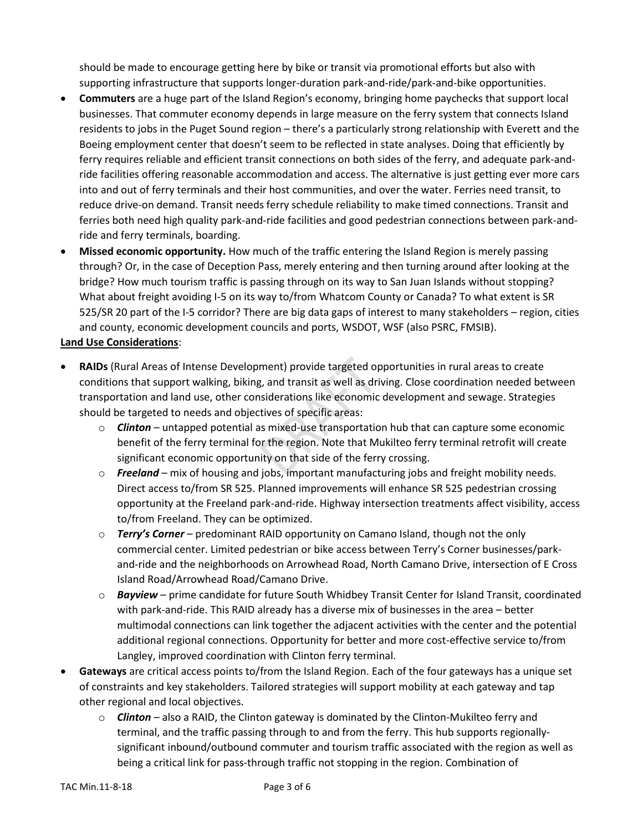should be made to encourage getting here by bike or transit via promotional efforts but also with supporting infrastructure that supports longer-duration park-and-ride/park-and-bike opportunities.

- **Commuters** are a huge part of the Island Region's economy, bringing home paychecks that support local businesses. That commuter economy depends in large measure on the ferry system that connects Island residents to jobs in the Puget Sound region – there's a particularly strong relationship with Everett and the Boeing employment center that doesn't seem to be reflected in state analyses. Doing that efficiently by ferry requires reliable and efficient transit connections on both sides of the ferry, and adequate park-andride facilities offering reasonable accommodation and access. The alternative is just getting ever more cars into and out of ferry terminals and their host communities, and over the water. Ferries need transit, to reduce drive-on demand. Transit needs ferry schedule reliability to make timed connections. Transit and ferries both need high quality park-and-ride facilities and good pedestrian connections between park-andride and ferry terminals, boarding.
- **Missed economic opportunity.** How much of the traffic entering the Island Region is merely passing through? Or, in the case of Deception Pass, merely entering and then turning around after looking at the bridge? How much tourism traffic is passing through on its way to San Juan Islands without stopping? What about freight avoiding I-5 on its way to/from Whatcom County or Canada? To what extent is SR 525/SR 20 part of the I-5 corridor? There are big data gaps of interest to many stakeholders – region, cities and county, economic development councils and ports, WSDOT, WSF (also PSRC, FMSIB).

### **Land Use Considerations**:

- **RAIDs** (Rural Areas of Intense Development) provide targeted opportunities in rural areas to create conditions that support walking, biking, and transit as well as driving. Close coordination needed between transportation and land use, other considerations like economic development and sewage. Strategies should be targeted to needs and objectives of specific areas:
	- o *Clinton* untapped potential as mixed-use transportation hub that can capture some economic benefit of the ferry terminal for the region. Note that Mukilteo ferry terminal retrofit will create significant economic opportunity on that side of the ferry crossing.
	- o *Freeland* mix of housing and jobs, important manufacturing jobs and freight mobility needs. Direct access to/from SR 525. Planned improvements will enhance SR 525 pedestrian crossing opportunity at the Freeland park-and-ride. Highway intersection treatments affect visibility, access to/from Freeland. They can be optimized.
	- o *Terry's Corner* predominant RAID opportunity on Camano Island, though not the only commercial center. Limited pedestrian or bike access between Terry's Corner businesses/parkand-ride and the neighborhoods on Arrowhead Road, North Camano Drive, intersection of E Cross Island Road/Arrowhead Road/Camano Drive.
	- o *Bayview* prime candidate for future South Whidbey Transit Center for Island Transit, coordinated with park-and-ride. This RAID already has a diverse mix of businesses in the area – better multimodal connections can link together the adjacent activities with the center and the potential additional regional connections. Opportunity for better and more cost-effective service to/from Langley, improved coordination with Clinton ferry terminal.
- **Gateways** are critical access points to/from the Island Region. Each of the four gateways has a unique set of constraints and key stakeholders. Tailored strategies will support mobility at each gateway and tap other regional and local objectives.
	- o *Clinton* also a RAID, the Clinton gateway is dominated by the Clinton-Mukilteo ferry and terminal, and the traffic passing through to and from the ferry. This hub supports regionallysignificant inbound/outbound commuter and tourism traffic associated with the region as well as being a critical link for pass-through traffic not stopping in the region. Combination of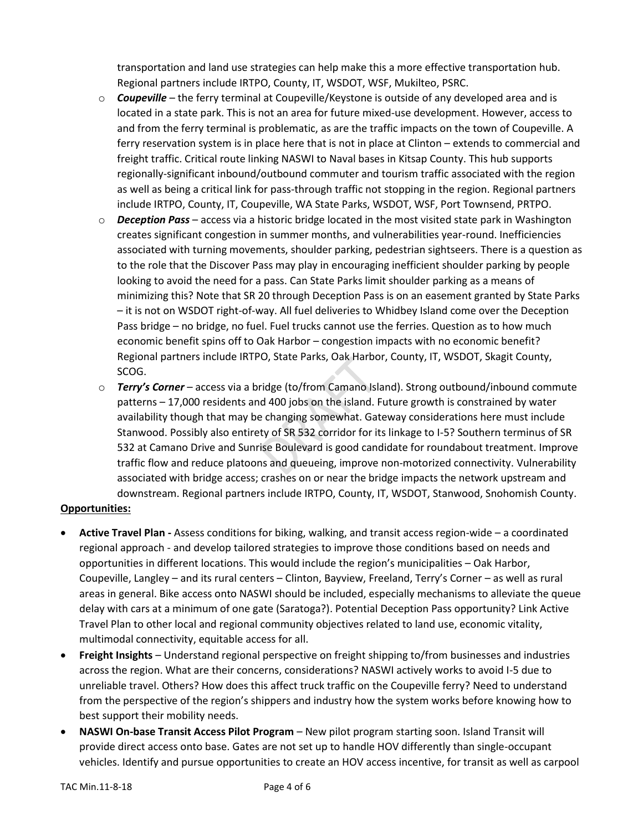transportation and land use strategies can help make this a more effective transportation hub. Regional partners include IRTPO, County, IT, WSDOT, WSF, Mukilteo, PSRC.

- o *Coupeville* the ferry terminal at Coupeville/Keystone is outside of any developed area and is located in a state park. This is not an area for future mixed-use development. However, access to and from the ferry terminal is problematic, as are the traffic impacts on the town of Coupeville. A ferry reservation system is in place here that is not in place at Clinton – extends to commercial and freight traffic. Critical route linking NASWI to Naval bases in Kitsap County. This hub supports regionally-significant inbound/outbound commuter and tourism traffic associated with the region as well as being a critical link for pass-through traffic not stopping in the region. Regional partners include IRTPO, County, IT, Coupeville, WA State Parks, WSDOT, WSF, Port Townsend, PRTPO.
- o *Deception Pass* access via a historic bridge located in the most visited state park in Washington creates significant congestion in summer months, and vulnerabilities year-round. Inefficiencies associated with turning movements, shoulder parking, pedestrian sightseers. There is a question as to the role that the Discover Pass may play in encouraging inefficient shoulder parking by people looking to avoid the need for a pass. Can State Parks limit shoulder parking as a means of minimizing this? Note that SR 20 through Deception Pass is on an easement granted by State Parks – it is not on WSDOT right-of-way. All fuel deliveries to Whidbey Island come over the Deception Pass bridge – no bridge, no fuel. Fuel trucks cannot use the ferries. Question as to how much economic benefit spins off to Oak Harbor – congestion impacts with no economic benefit? Regional partners include IRTPO, State Parks, Oak Harbor, County, IT, WSDOT, Skagit County, SCOG.
- o *Terry's Corner* access via a bridge (to/from Camano Island). Strong outbound/inbound commute patterns – 17,000 residents and 400 jobs on the island. Future growth is constrained by water availability though that may be changing somewhat. Gateway considerations here must include Stanwood. Possibly also entirety of SR 532 corridor for its linkage to I-5? Southern terminus of SR 532 at Camano Drive and Sunrise Boulevard is good candidate for roundabout treatment. Improve traffic flow and reduce platoons and queueing, improve non-motorized connectivity. Vulnerability associated with bridge access; crashes on or near the bridge impacts the network upstream and downstream. Regional partners include IRTPO, County, IT, WSDOT, Stanwood, Snohomish County.

## **Opportunities:**

- **Active Travel Plan -** Assess conditions for biking, walking, and transit access region-wide a coordinated regional approach - and develop tailored strategies to improve those conditions based on needs and opportunities in different locations. This would include the region's municipalities – Oak Harbor, Coupeville, Langley – and its rural centers – Clinton, Bayview, Freeland, Terry's Corner – as well as rural areas in general. Bike access onto NASWI should be included, especially mechanisms to alleviate the queue delay with cars at a minimum of one gate (Saratoga?). Potential Deception Pass opportunity? Link Active Travel Plan to other local and regional community objectives related to land use, economic vitality, multimodal connectivity, equitable access for all.
- **Freight Insights** Understand regional perspective on freight shipping to/from businesses and industries across the region. What are their concerns, considerations? NASWI actively works to avoid I-5 due to unreliable travel. Others? How does this affect truck traffic on the Coupeville ferry? Need to understand from the perspective of the region's shippers and industry how the system works before knowing how to best support their mobility needs.
- **NASWI On-base Transit Access Pilot Program** New pilot program starting soon. Island Transit will provide direct access onto base. Gates are not set up to handle HOV differently than single-occupant vehicles. Identify and pursue opportunities to create an HOV access incentive, for transit as well as carpool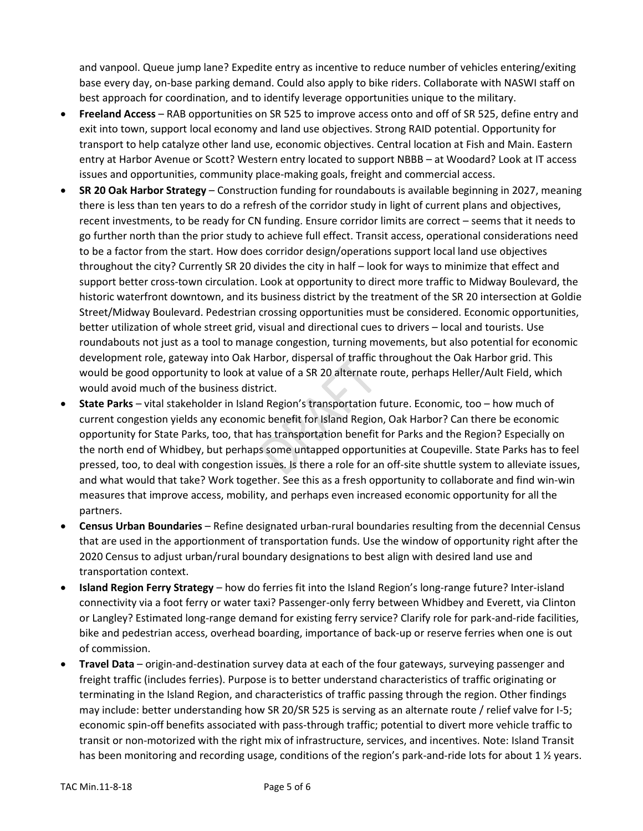and vanpool. Queue jump lane? Expedite entry as incentive to reduce number of vehicles entering/exiting base every day, on-base parking demand. Could also apply to bike riders. Collaborate with NASWI staff on best approach for coordination, and to identify leverage opportunities unique to the military.

- **Freeland Access** RAB opportunities on SR 525 to improve access onto and off of SR 525, define entry and exit into town, support local economy and land use objectives. Strong RAID potential. Opportunity for transport to help catalyze other land use, economic objectives. Central location at Fish and Main. Eastern entry at Harbor Avenue or Scott? Western entry located to support NBBB – at Woodard? Look at IT access issues and opportunities, community place-making goals, freight and commercial access.
- **SR 20 Oak Harbor Strategy** Construction funding for roundabouts is available beginning in 2027, meaning there is less than ten years to do a refresh of the corridor study in light of current plans and objectives, recent investments, to be ready for CN funding. Ensure corridor limits are correct – seems that it needs to go further north than the prior study to achieve full effect. Transit access, operational considerations need to be a factor from the start. How does corridor design/operations support local land use objectives throughout the city? Currently SR 20 divides the city in half – look for ways to minimize that effect and support better cross-town circulation. Look at opportunity to direct more traffic to Midway Boulevard, the historic waterfront downtown, and its business district by the treatment of the SR 20 intersection at Goldie Street/Midway Boulevard. Pedestrian crossing opportunities must be considered. Economic opportunities, better utilization of whole street grid, visual and directional cues to drivers – local and tourists. Use roundabouts not just as a tool to manage congestion, turning movements, but also potential for economic development role, gateway into Oak Harbor, dispersal of traffic throughout the Oak Harbor grid. This would be good opportunity to look at value of a SR 20 alternate route, perhaps Heller/Ault Field, which would avoid much of the business district.
- **State Parks** vital stakeholder in Island Region's transportation future. Economic, too how much of current congestion yields any economic benefit for Island Region, Oak Harbor? Can there be economic opportunity for State Parks, too, that has transportation benefit for Parks and the Region? Especially on the north end of Whidbey, but perhaps some untapped opportunities at Coupeville. State Parks has to feel pressed, too, to deal with congestion issues. Is there a role for an off-site shuttle system to alleviate issues, and what would that take? Work together. See this as a fresh opportunity to collaborate and find win-win measures that improve access, mobility, and perhaps even increased economic opportunity for all the partners.
- **Census Urban Boundaries** Refine designated urban-rural boundaries resulting from the decennial Census that are used in the apportionment of transportation funds. Use the window of opportunity right after the 2020 Census to adjust urban/rural boundary designations to best align with desired land use and transportation context.
- **Island Region Ferry Strategy** how do ferries fit into the Island Region's long-range future? Inter-island connectivity via a foot ferry or water taxi? Passenger-only ferry between Whidbey and Everett, via Clinton or Langley? Estimated long-range demand for existing ferry service? Clarify role for park-and-ride facilities, bike and pedestrian access, overhead boarding, importance of back-up or reserve ferries when one is out of commission.
- **Travel Data** origin-and-destination survey data at each of the four gateways, surveying passenger and freight traffic (includes ferries). Purpose is to better understand characteristics of traffic originating or terminating in the Island Region, and characteristics of traffic passing through the region. Other findings may include: better understanding how SR 20/SR 525 is serving as an alternate route / relief valve for I-5; economic spin-off benefits associated with pass-through traffic; potential to divert more vehicle traffic to transit or non-motorized with the right mix of infrastructure, services, and incentives. Note: Island Transit has been monitoring and recording usage, conditions of the region's park-and-ride lots for about 1 % years.